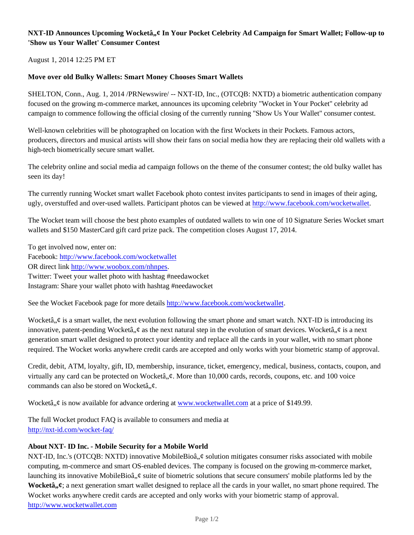## **NXT-ID Announces Upcoming Wocketâ,,¢ In Your Pocket Celebrity Ad Campaign for Smart Wallet; Follow-up to 'Show us Your Wallet' Consumer Contest**

August 1, 2014 12:25 PM ET

## **Move over old Bulky Wallets: Smart Money Chooses Smart Wallets**

SHELTON, Conn., Aug. 1, 2014 /PRNewswire/ -- NXT-ID, Inc., (OTCQB: NXTD) a biometric authentication company focused on the growing m-commerce market, announces its upcoming celebrity "Wocket in Your Pocket" celebrity ad campaign to commence following the official closing of the currently running "Show Us Your Wallet" consumer contest.

Well-known celebrities will be photographed on location with the first Wockets in their Pockets. Famous actors, producers, directors and musical artists will show their fans on social media how they are replacing their old wallets with a high-tech biometrically secure smart wallet.

The celebrity online and social media ad campaign follows on the theme of the consumer contest; the old bulky wallet has seen its day!

The currently running Wocket smart wallet Facebook photo contest invites participants to send in images of their aging, ugly, overstuffed and over-used wallets. Participant photos can be viewed at http://www.facebook.com/wocketwallet.

The Wocket team will choose the best photo examples of outdated wallets to win one of 10 Signature Series Wocket smart wallets and \$150 MasterCard gift card prize pack. The competition closes August 17, 2014.

To get involved now, enter on: Facebook: http://www.facebook.com/wocketwallet OR direct link http://www.woobox.com/nhnpes. Twitter: Tweet your wallet photo with hashtag #needawocket Instagram: Share your wallet photo with hashtag #needawocket

See the Wocket Facebook page for more details http://www.facebook.com/wocketwallet.

Wocketâ,  $\phi$  is a smart wallet, the next evolution following the smart phone and smart watch. NXT-ID is introducing its innovative, patent-pending Wocketâ,  $\phi$  as the next natural step in the evolution of smart devices. Wocketâ,  $\phi$  is a next generation smart wallet designed to protect your identity and replace all the cards in your wallet, with no smart phone required. The Wocket works anywhere credit cards are accepted and only works with your biometric stamp of approval.

Credit, debit, ATM, loyalty, gift, ID, membership, insurance, ticket, emergency, medical, business, contacts, coupon, and virtually any card can be protected on Wocketâ,  $\phi$ . More than 10,000 cards, records, coupons, etc. and 100 voice commands can also be stored on Wocketâ,  $\phi$ .

Wocketâ,  $\phi$  is now available for advance ordering at www.wocketwallet.com at a price of \$149.99.

The full Wocket product FAQ is available to consumers and media at http://nxt-id.com/wocket-faq/

## **About NXT- ID Inc. - Mobile Security for a Mobile World**

NXT-ID, Inc.'s (OTCQB: NXTD) innovative MobileBioâ,  $\phi$  solution mitigates consumer risks associated with mobile computing, m-commerce and smart OS-enabled devices. The company is focused on the growing m-commerce market, launching its innovative MobileBioâ,  $\phi$  suite of biometric solutions that secure consumers' mobile platforms led by the **Wocketâ**,  $\boldsymbol{\psi}$ ; a next generation smart wallet designed to replace all the cards in your wallet, no smart phone required. The Wocket works anywhere credit cards are accepted and only works with your biometric stamp of approval. http://www.wocketwallet.com